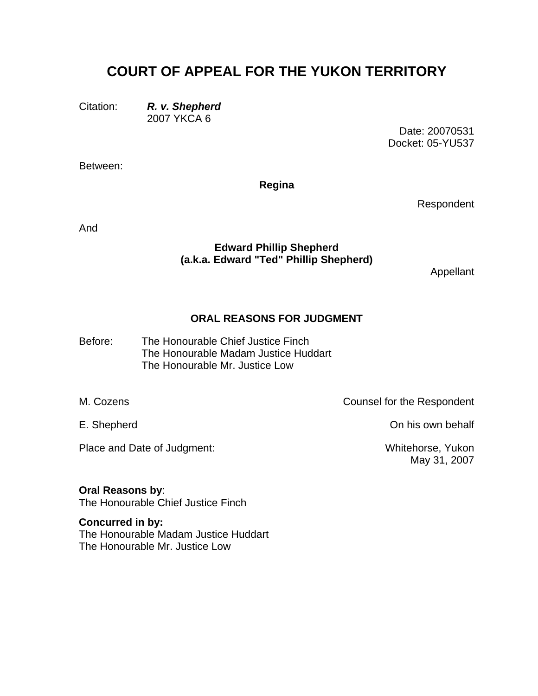## **COURT OF APPEAL FOR THE YUKON TERRITORY**

Citation: *R. v. Shepherd*

2007 YKCA 6

Date: 20070531 Docket: 05-YU537

Between:

**Regina** 

Respondent

And

## **Edward Phillip Shepherd (a.k.a. Edward "Ted" Phillip Shepherd)**

Appellant

## **ORAL REASONS FOR JUDGMENT**

The Honourable Chief Justice Finch The Honourable Madam Justice Huddart Before: The Honourable Mr. Justice Low

M. Cozens **Counsel for the Respondent** 

E. Shepherd **Community** Community Community Community Community Community Community Community Community Community Community Community Community Community Community Community Community Community Community Community Communit

Place and Date of Judgment: Whitehorse, Yukon

May 31, 2007

**Oral Reasons by**: The Honourable Chief Justice Finch

**Concurred in by:**  The Honourable Madam Justice Huddart The Honourable Mr. Justice Low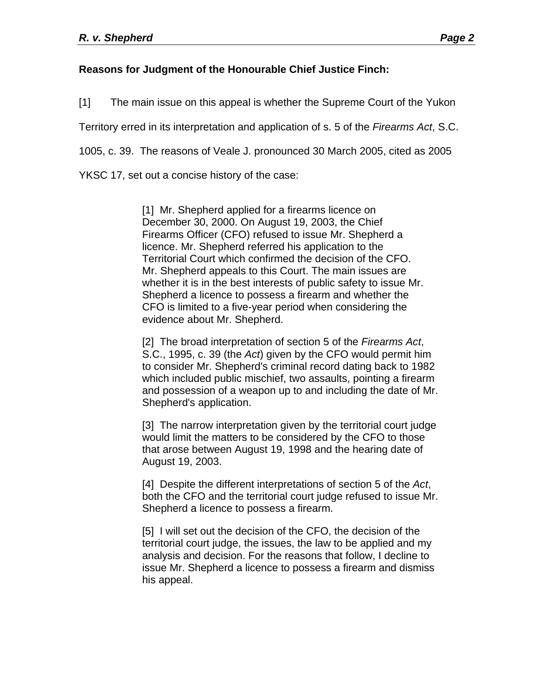## **Reasons for Judgment of the Honourable Chief Justice Finch:**

[1] The main issue on this appeal is whether the Supreme Court of the Yukon

Territory erred in its interpretation and application of s. 5 of the *Firearms Act*, S.C.

1005, c. 39. The reasons of Veale J. pronounced 30 March 2005, cited as 2005

YKSC 17, set out a concise history of the case:

[1] Mr. Shepherd applied for a firearms licence on December 30, 2000. On August 19, 2003, the Chief Firearms Officer (CFO) refused to issue Mr. Shepherd a licence. Mr. Shepherd referred his application to the Territorial Court which confirmed the decision of the CFO. Mr. Shepherd appeals to this Court. The main issues are whether it is in the best interests of public safety to issue Mr. Shepherd a licence to possess a firearm and whether the CFO is limited to a five-year period when considering the evidence about Mr. Shepherd.

[2] The broad interpretation of section 5 of the *Firearms Act*, S.C., 1995, c. 39 (the *Act*) given by the CFO would permit him to consider Mr. Shepherd's criminal record dating back to 1982 which included public mischief, two assaults, pointing a firearm and possession of a weapon up to and including the date of Mr. Shepherd's application.

[3] The narrow interpretation given by the territorial court judge would limit the matters to be considered by the CFO to those that arose between August 19, 1998 and the hearing date of August 19, 2003.

[4] Despite the different interpretations of section 5 of the *Act*, both the CFO and the territorial court judge refused to issue Mr. Shepherd a licence to possess a firearm.

[5] I will set out the decision of the CFO, the decision of the territorial court judge, the issues, the law to be applied and my analysis and decision. For the reasons that follow, I decline to issue Mr. Shepherd a licence to possess a firearm and dismiss his appeal.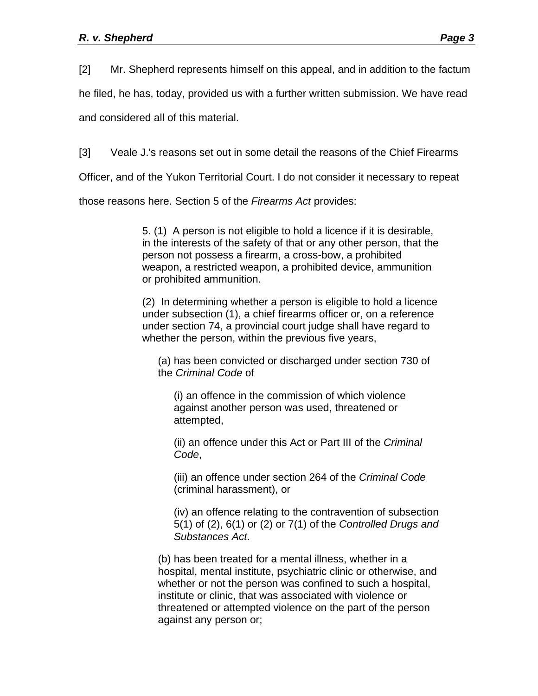[2] Mr. Shepherd represents himself on this appeal, and in addition to the factum

he filed, he has, today, provided us with a further written submission. We have read

and considered all of this material.

[3] Veale J.'s reasons set out in some detail the reasons of the Chief Firearms

Officer, and of the Yukon Territorial Court. I do not consider it necessary to repeat

those reasons here. Section 5 of the *Firearms Act* provides:

5. (1) A person is not eligible to hold a licence if it is desirable, in the interests of the safety of that or any other person, that the person not possess a firearm, a cross-bow, a prohibited weapon, a restricted weapon, a prohibited device, ammunition or prohibited ammunition.

(2) In determining whether a person is eligible to hold a licence under subsection (1), a chief firearms officer or, on a reference under section 74, a provincial court judge shall have regard to whether the person, within the previous five years,

(a) has been convicted or discharged under section 730 of the *Criminal Code* of

(i) an offence in the commission of which violence against another person was used, threatened or attempted,

(ii) an offence under this Act or Part III of the *Criminal Code*,

(iii) an offence under section 264 of the *Criminal Code*  (criminal harassment), or

(iv) an offence relating to the contravention of subsection 5(1) of (2), 6(1) or (2) or 7(1) of the *Controlled Drugs and Substances Act*.

(b) has been treated for a mental illness, whether in a hospital, mental institute, psychiatric clinic or otherwise, and whether or not the person was confined to such a hospital, institute or clinic, that was associated with violence or threatened or attempted violence on the part of the person against any person or;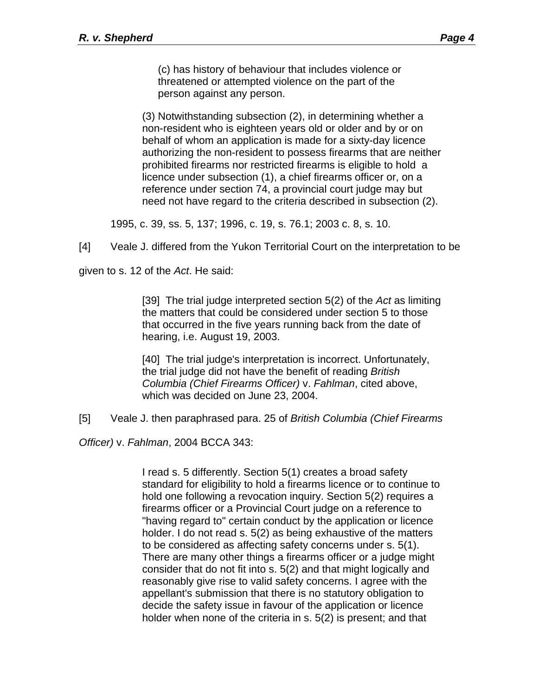(c) has history of behaviour that includes violence or threatened or attempted violence on the part of the person against any person.

(3) Notwithstanding subsection (2), in determining whether a non-resident who is eighteen years old or older and by or on behalf of whom an application is made for a sixty-day licence authorizing the non-resident to possess firearms that are neither prohibited firearms nor restricted firearms is eligible to hold a licence under subsection (1), a chief firearms officer or, on a reference under section 74, a provincial court judge may but need not have regard to the criteria described in subsection (2).

1995, c. 39, ss. 5, 137; 1996, c. 19, s. 76.1; 2003 c. 8, s. 10.

[4] Veale J. differed from the Yukon Territorial Court on the interpretation to be

given to s. 12 of the *Act*. He said:

[39] The trial judge interpreted section 5(2) of the *Act* as limiting the matters that could be considered under section 5 to those that occurred in the five years running back from the date of hearing, i.e. August 19, 2003.

[40] The trial judge's interpretation is incorrect. Unfortunately, the trial judge did not have the benefit of reading *British Columbia (Chief Firearms Officer)* v. *Fahlman*, cited above, which was decided on June 23, 2004.

[5] Veale J. then paraphrased para. 25 of *British Columbia (Chief Firearms* 

*Officer)* v. *Fahlman*, 2004 BCCA 343:

I read s. 5 differently. Section 5(1) creates a broad safety standard for eligibility to hold a firearms licence or to continue to hold one following a revocation inquiry. Section 5(2) requires a firearms officer or a Provincial Court judge on a reference to "having regard to" certain conduct by the application or licence holder. I do not read s. 5(2) as being exhaustive of the matters to be considered as affecting safety concerns under s. 5(1). There are many other things a firearms officer or a judge might consider that do not fit into s. 5(2) and that might logically and reasonably give rise to valid safety concerns. I agree with the appellant's submission that there is no statutory obligation to decide the safety issue in favour of the application or licence holder when none of the criteria in s. 5(2) is present; and that